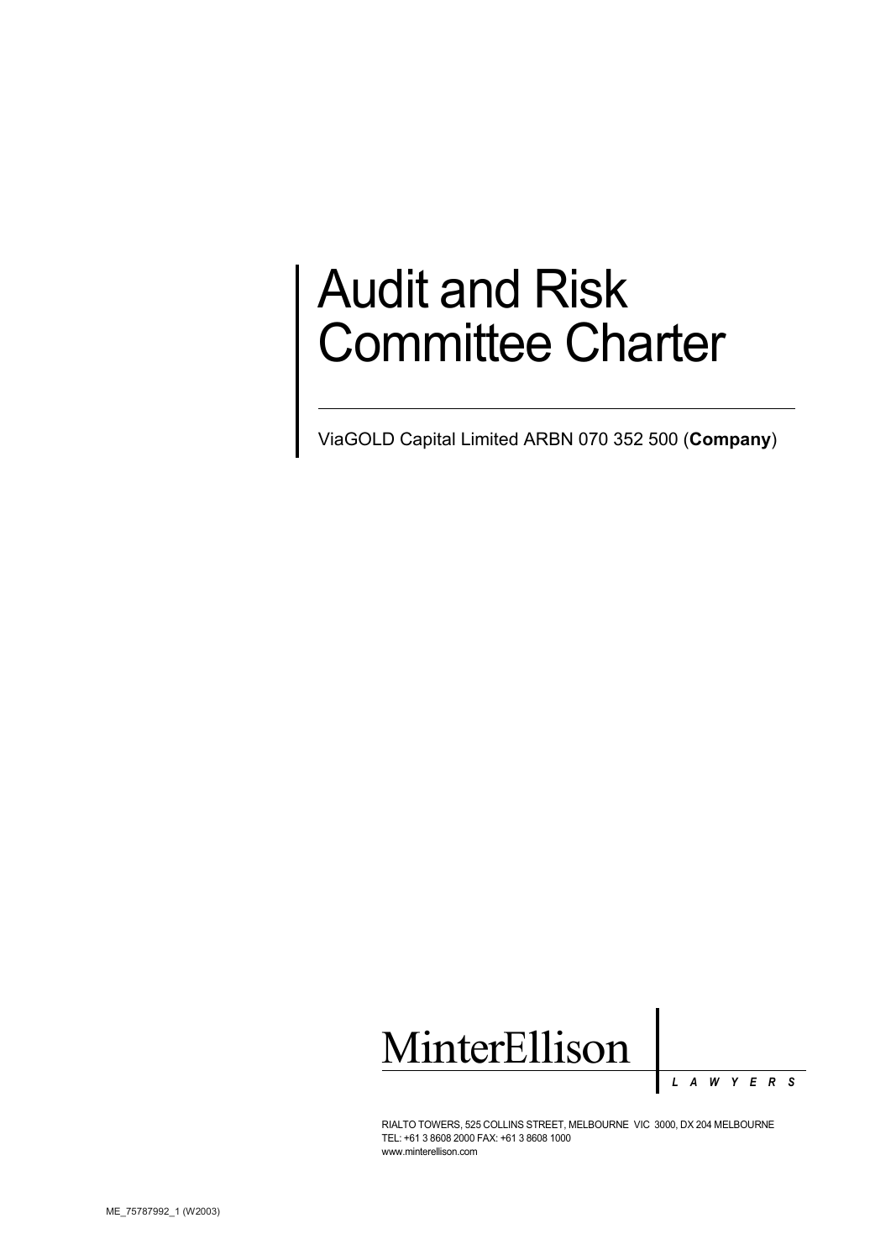# Audit and Risk Committee Charter

ViaGOLD Capital Limited ARBN 070 352 500 (**Company**)



*L A W Y E R S*

RIALTO TOWERS, 525 COLLINS STREET, MELBOURNE VIC 3000, DX 204 MELBOURNE TEL: +61 3 8608 2000 FAX: +61 3 8608 1000 www.minterellison.com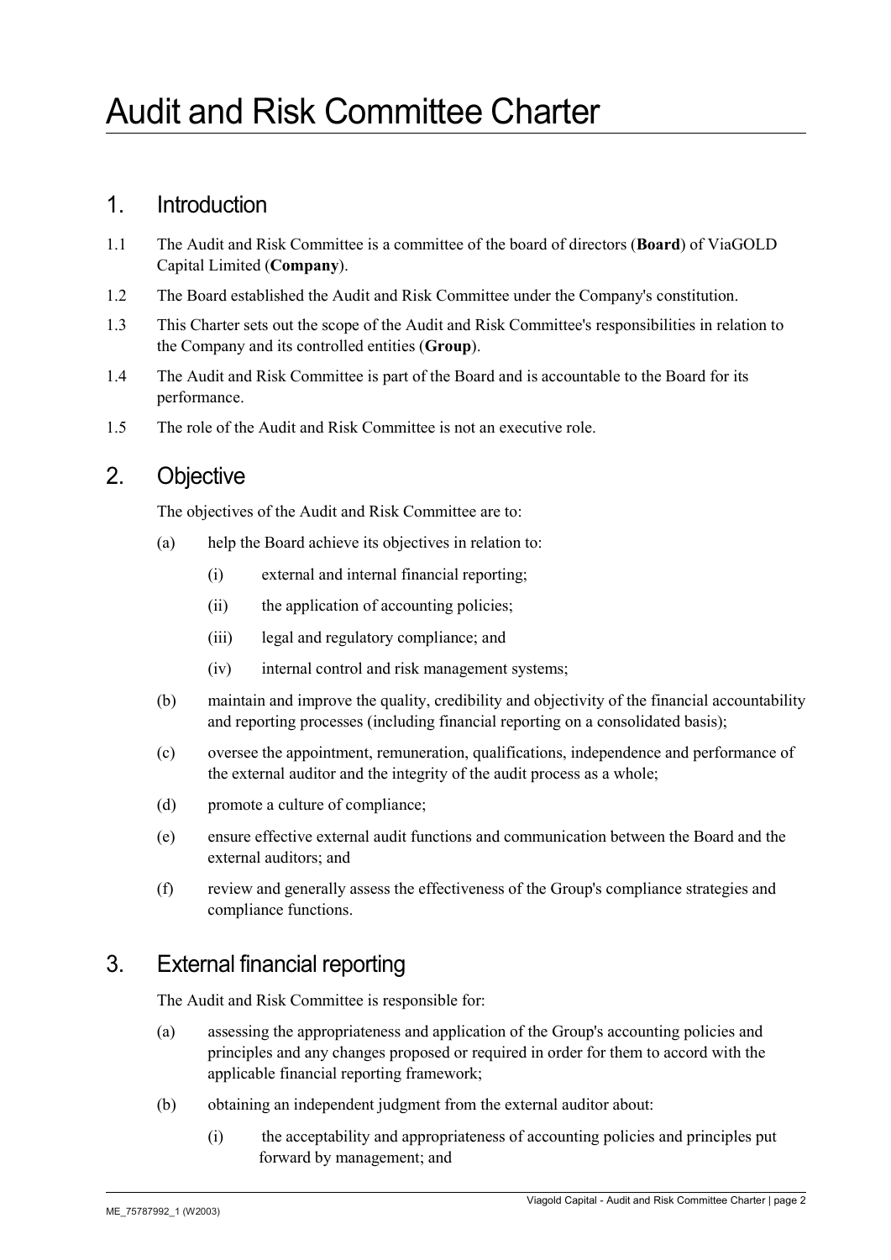## 1. Introduction

- 1.1 The Audit and Risk Committee is a committee of the board of directors (**Board**) of ViaGOLD Capital Limited (**Company**).
- 1.2 The Board established the Audit and Risk Committee under the Company's constitution.
- 1.3 This Charter sets out the scope of the Audit and Risk Committee's responsibilities in relation to the Company and its controlled entities (**Group**).
- 1.4 The Audit and Risk Committee is part of the Board and is accountable to the Board for its performance.
- 1.5 The role of the Audit and Risk Committee is not an executive role.

# 2. Objective

The objectives of the Audit and Risk Committee are to:

- (a) help the Board achieve its objectives in relation to:
	- (i) external and internal financial reporting;
	- (ii) the application of accounting policies;
	- (iii) legal and regulatory compliance; and
	- (iv) internal control and risk management systems;
- (b) maintain and improve the quality, credibility and objectivity of the financial accountability and reporting processes (including financial reporting on a consolidated basis);
- (c) oversee the appointment, remuneration, qualifications, independence and performance of the external auditor and the integrity of the audit process as a whole;
- (d) promote a culture of compliance;
- (e) ensure effective external audit functions and communication between the Board and the external auditors; and
- (f) review and generally assess the effectiveness ofthe Group's compliance strategies and compliance functions.

# 3. External financial reporting

The Audit and Risk Committee is responsible for:

- (a) assessing the appropriateness and application of the Group's accounting policies and principles and any changes proposed or required in order for them to accord with the applicable financial reporting framework;
- (b) obtaining an independent judgment from the external auditor about:
	- (i) the acceptability and appropriateness of accounting policies and principles put forward by management; and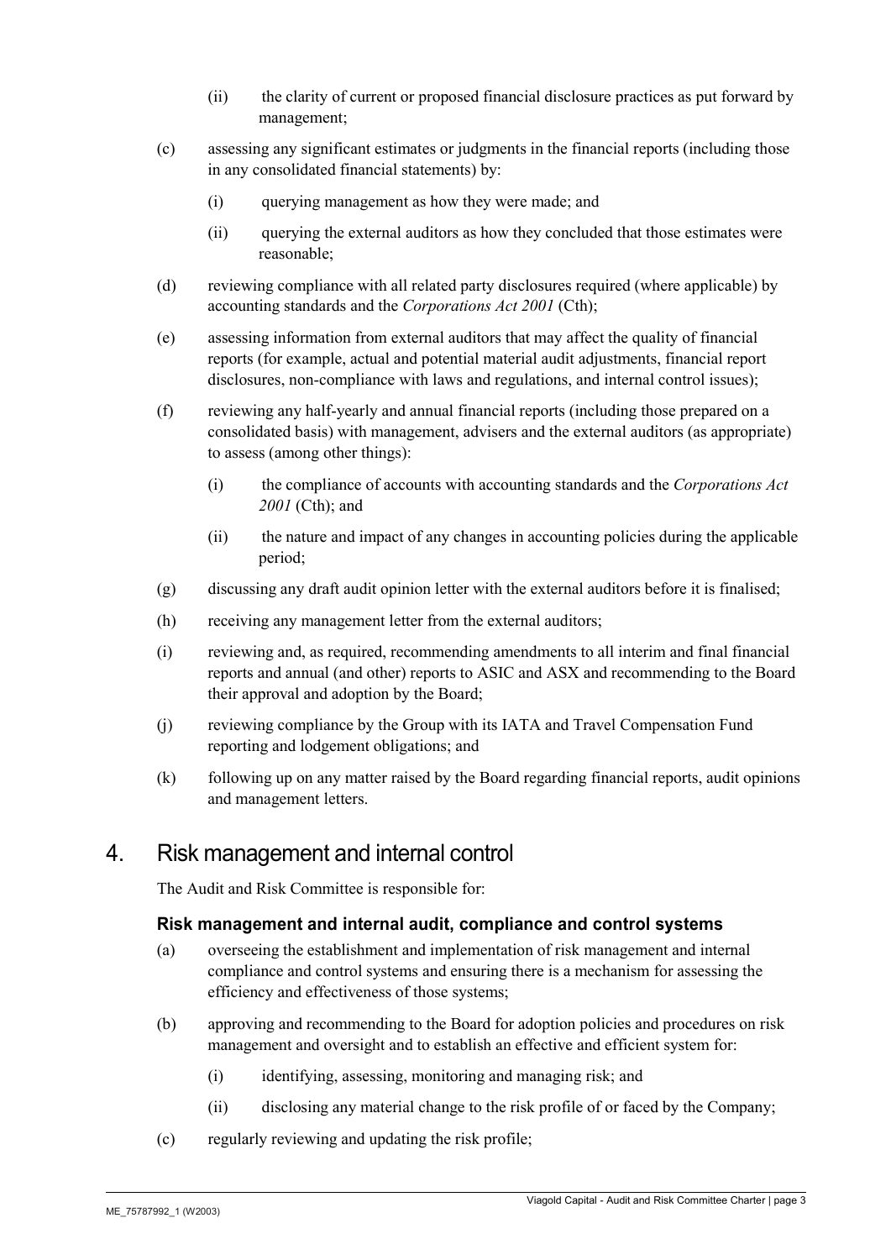- (ii) the clarity of current or proposed financial disclosure practices as put forward by management;
- (c) assessing any significant estimates or judgments in the financial reports (including those in any consolidated financial statements) by:
	- (i) querying management as how they were made; and
	- (ii) querying the external auditors as how they concluded that those estimates were reasonable;
- (d) reviewing compliance with all related party disclosures required (where applicable) by accounting standards and the *Corporations Act 2001* (Cth);
- (e) assessing information from external auditors that may affect the quality of financial reports (for example, actual and potential material audit adjustments, financial report disclosures, non-compliance with laws and regulations, and internal control issues);
- (f) reviewing any half-yearly and annual financial reports (including those prepared on a consolidated basis) with management, advisers and the external auditors (as appropriate) to assess (among other things):
	- (i) the compliance of accounts with accounting standards and the *Corporations Act 2001* (Cth); and
	- (ii) the nature and impact of any changes in accounting policies during the applicable period;
- (g) discussing any draft audit opinion letter with the external auditors before it is finalised;
- (h) receiving any management letter from the external auditors;
- (i) reviewing and, as required, recommending amendments to all interim and final financial reports and annual (and other) reports to ASIC and ASX and recommending to the Board their approval and adoption by the Board;
- (j) reviewing compliance by the Group with its IATA and Travel Compensation Fund reporting and lodgement obligations; and
- (k) following up on any matter raised by the Board regarding financial reports, audit opinions and management letters.

# 4. Risk management and internal control

The Audit and Risk Committee is responsible for:

### **Risk management and internal audit, compliance and control systems**

- (a) overseeing the establishment and implementation of risk management and internal compliance and control systems and ensuring there is a mechanism for assessing the efficiency and effectiveness of those systems:
- (b) approving and recommending to the Board for adoption policies and procedures on risk management and oversight and to establish an effective and efficient system for:
	- (i) identifying, assessing, monitoring and managing risk; and
	- (ii) disclosing any material change to the risk profile of or faced by the Company;
- (c) regularly reviewing and updating the risk profile;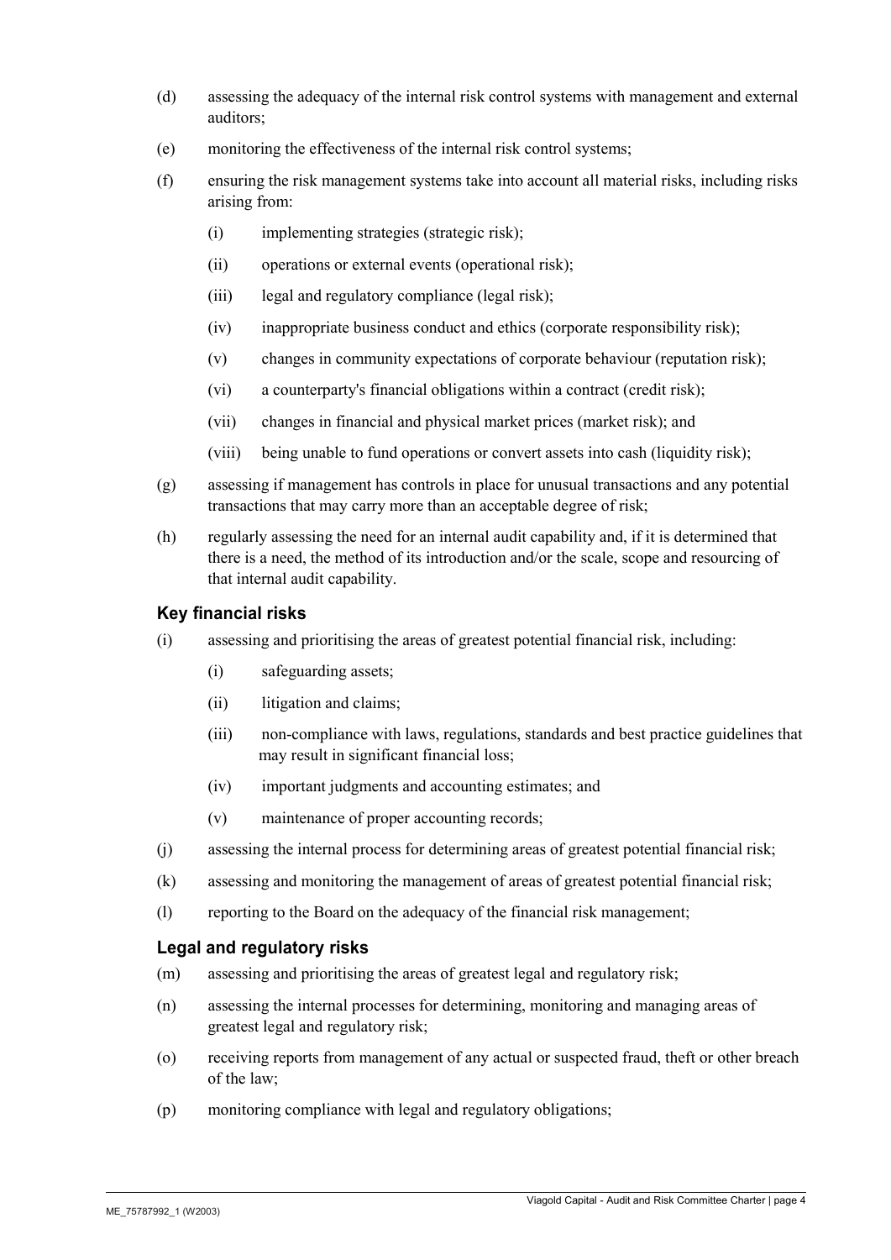- (d) assessing the adequacy of the internal risk control systems with management and external auditors;
- (e) monitoring the effectiveness of the internal risk control systems;
- (f) ensuring the risk management systems take into account all material risks, including risks arising from:
	- (i) implementing strategies (strategic risk);
	- (ii) operations orexternal events (operational risk);
	- (iii) legal and regulatory compliance (legal risk);
	- (iv) inappropriate business conduct and ethics (corporate responsibility risk);
	- $(v)$  changes in community expectations of corporate behaviour (reputation risk);
	- (vi) a counterparty's financial obligations within a contract (credit risk);
	- (vii) changes in financial and physical market prices (market risk); and
	- (viii) being unable to fund operations orconvert assets into cash (liquidity risk);
- (g) assessing if management has controls in place for unusual transactions and any potential transactions that may carry more than an acceptable degree of risk;
- (h) regularly assessing the need for an internal audit capability and, if it is determined that there is a need, the method of its introduction and/or the scale, scope and resourcing of that internal audit capability.

## **Key financial risks**

- $(i)$  assessing and prioritising the areas of greatest potential financial risk, including:
	- (i) safeguarding assets;
	- (ii) litigation and claims;
	- (iii) non-compliance with laws, regulations, standards and best practice guidelines that may result in significant financial loss;
	- (iv) important judgments and accounting estimates;and
	- (v) maintenance of proper accounting records;
- (i) assessing the internal process for determining areas of greatest potential financial risk;
- $(k)$  assessing and monitoring the management of areas of greatest potential financial risk;
- (l) reporting to the Board on the adequacy of the financial risk management;

### **Legal and regulatory risks**

- (m) assessing and prioritising the areas of greatest legal and regulatory risk;
- (n) assessing the internal processes for determining, monitoring and managing areas of greatest legal and regulatory risk;
- (o) receiving reports from management of any actual or suspected fraud, theft or other breach of the law;
- (p) monitoring compliance with legal and regulatory obligations;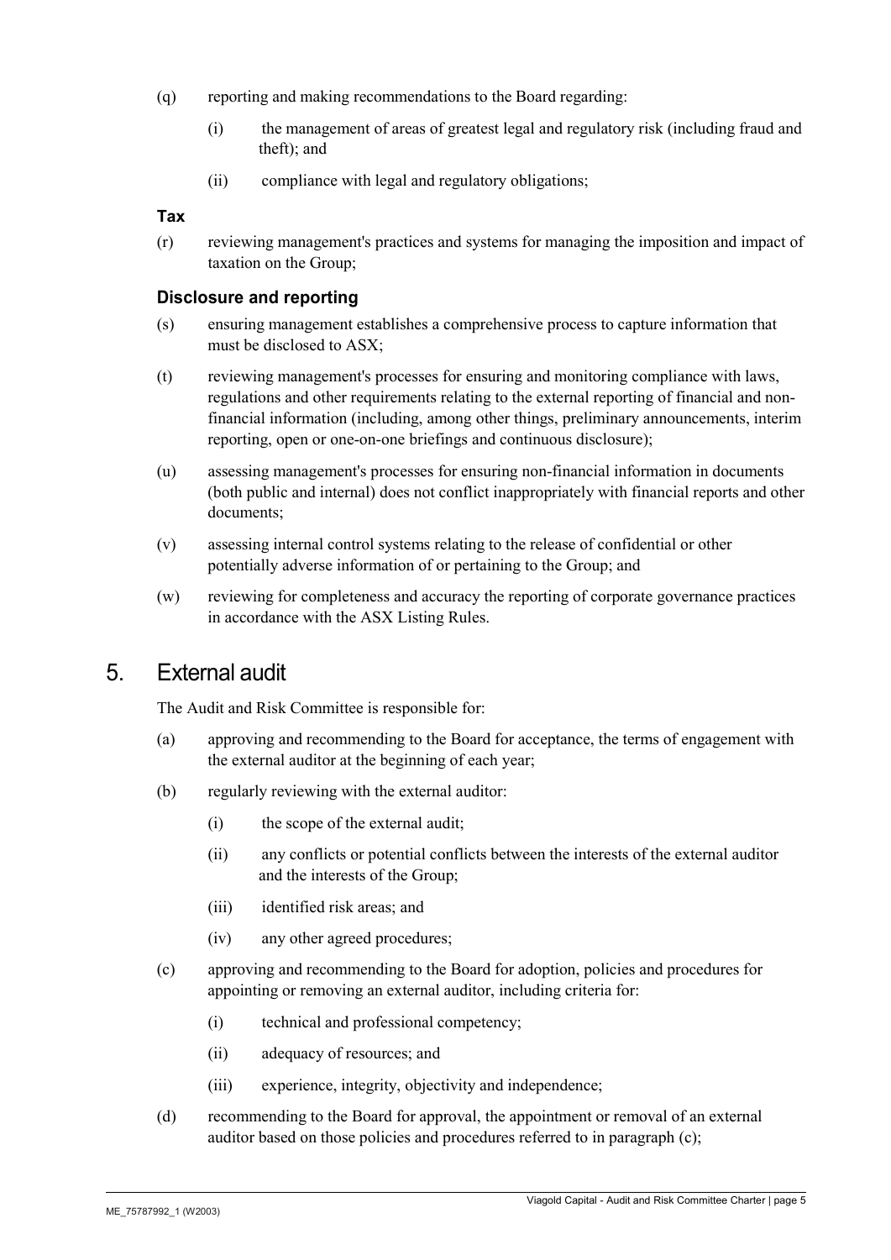- (q) reporting and making recommendations to the Board regarding:
	- $(i)$  the management of areas of greatest legal and regulatory risk (including fraud and theft); and
	- (ii) compliance with legal and regulatory obligations;

#### **Tax**

(r) reviewing management's practices and systems for managing the imposition and impact of taxation on the Group;

#### **Disclosure and reporting**

- (s) ensuring management establishes a comprehensive process to capture information that must be disclosed to ASX;
- (t) reviewing management's processes for ensuring and monitoring compliance with laws, regulations and other requirements relating to the external reporting of financial and nonfinancial information (including, among other things, preliminary announcements, interim reporting, open or one-on-one briefings and continuous disclosure);
- (u) assessing management's processes for ensuring non-financial information in documents (both public and internal) does not conflict inappropriately with financial reports and other documents;
- (v) assessing internal control systems relating to the release of confidential or other potentially adverse information of or pertaining to the Group; and
- (w) reviewing for completeness and accuracy the reporting of corporate governance practices in accordance with the ASX Listing Rules.

## 5. External audit

The Audit and Risk Committee is responsible for:

- (a) approving and recommending to the Board for acceptance, the terms of engagement with the external auditor at the beginning of each year;
- (b) regularly reviewing with the external auditor:
	- (i) the scope of the external audit;
	- (ii) any conflicts or potential conflicts between the interests of the external auditor and the interests of the Group;
	- (iii) identified risk areas; and
	- (iv) any other agreed procedures;
- (c) approving and recommending to the Board for adoption, policies and procedures for appointing or removing an external auditor, including criteria for:
	- (i) technical and professional competency;
	- (ii) adequacy of resources; and
	- (iii) experience, integrity, objectivity and independence;
- (d) recommending to the Board for approval, the appointment or removal of an external auditor based on those policies and procedures referred to in paragraph (c);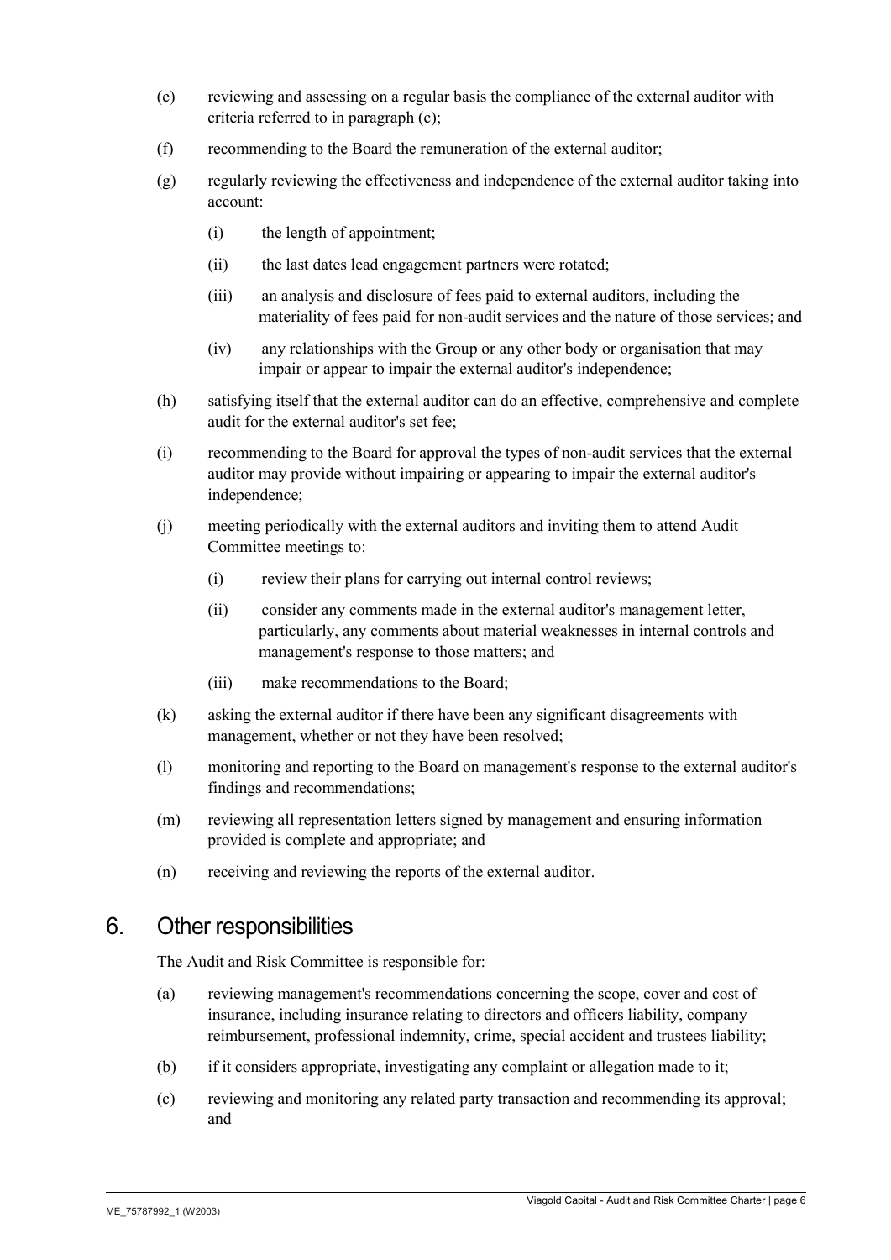- (e) reviewing and assessing on a regular basis the compliance of the external auditor with criteria referred to in paragraph (c);
- (f) recommending to the Board the remuneration of the external auditor;
- (g) regularly reviewing the effectiveness and independence of the external auditor taking into account:
	- (i) the length of appointment;
	- (ii) the last dates lead engagement partners were rotated;
	- (iii) an analysis and disclosure of fees paid to external auditors, including the materiality of fees paid for non-audit services and the nature of those services; and
	- (iv) any relationships with the Group or any other body or organisation that may impair or appear to impair the external auditor's independence;
- (h) satisfying itself that the external auditor can do an effective, comprehensive and complete audit for the external auditor's set fee;
- (i) recommending to the Board for approval the types of non-audit services that the external auditor may provide without impairing or appearing to impair the external auditor's independence;
- (j) meeting periodically with the external auditors and inviting them to attend Audit Committee meetings to:
	- (i) review their plans for carrying out internal control reviews;
	- (ii) consider any comments made in the external auditor's management letter, particularly, any comments about material weaknesses in internal controls and management's response to those matters; and
	- (iii) make recommendations to the Board;
- (k) asking the external auditor if there have been any significant disagreements with management, whether or not they have been resolved;
- (l) monitoring and reporting to the Board on management's response to the external auditor's findings and recommendations;
- (m) reviewing all representation letters signed by management and ensuring information provided is complete and appropriate; and
- (n) receiving and reviewing the reports of the external auditor.

## 6. Other responsibilities

The Audit and Risk Committee is responsible for:

- (a) reviewing management's recommendations concerning the scope, cover and cost of insurance, including insurance relating to directors and officers liability, company reimbursement, professional indemnity, crime, special accident and trustees liability;
- (b) if it considers appropriate, investigating any complaint or allegation made to it;
- (c) reviewing and monitoring any related party transaction and recommending its approval; and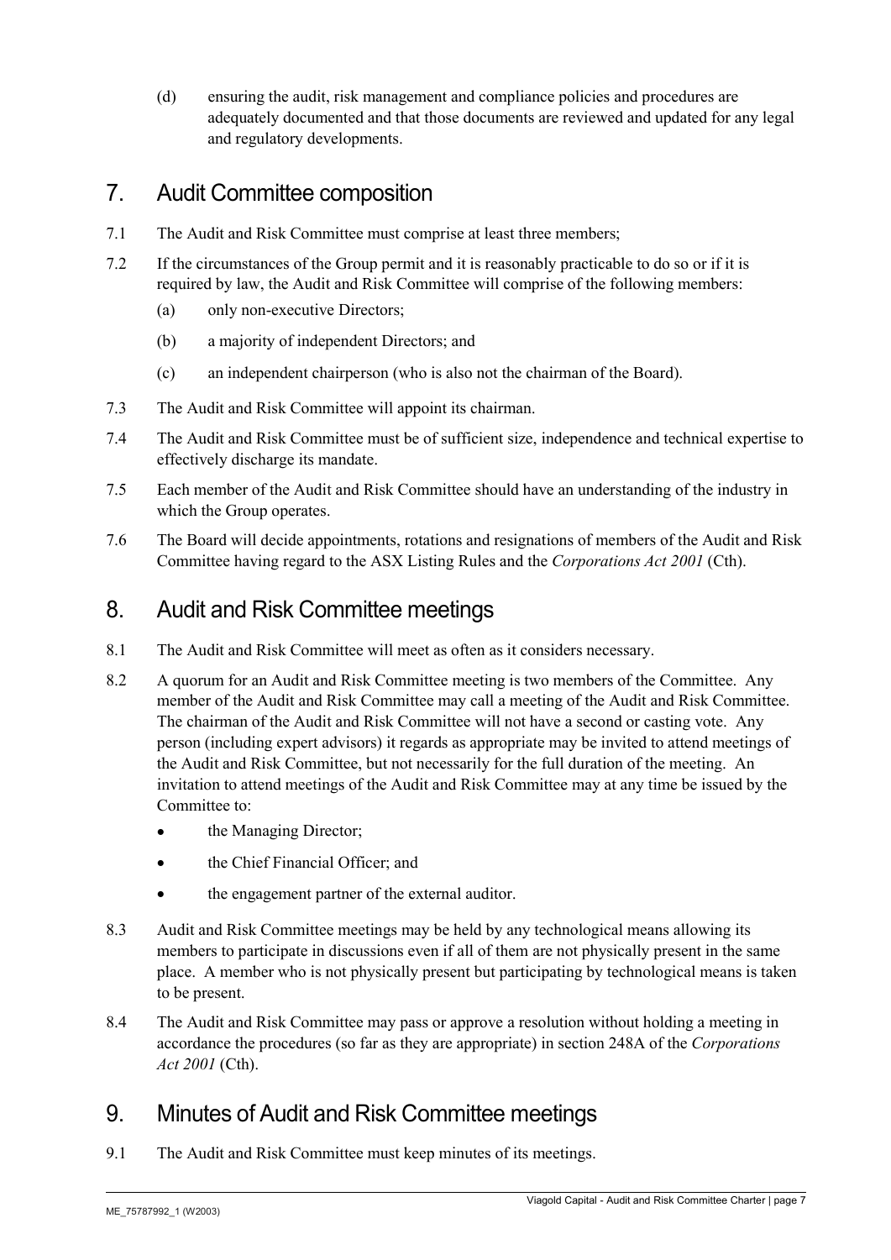(d) ensuring the audit, risk management and compliance policies and procedures are adequately documented and that those documents are reviewed and updated for any legal and regulatory developments.

# 7. Audit Committee composition

- 7.1 The Audit and Risk Committee must comprise at least three members;
- 7.2 If the circumstances ofthe Group permit and it is reasonably practicable to do so or if it is required by law, the Audit and Risk Committee will comprise of the following members:
	- (a) only non-executive Directors;
	- (b) a majority of independent Directors; and
	- (c) an independent chairperson (who is also not the chairman of the Board).
- 7.3 The Audit and Risk Committee will appoint its chairman.
- 7.4 The Audit and Risk Committee must be of sufficient size, independence and technical expertise to effectively discharge its mandate.
- 7.5 Each member of the Audit and Risk Committee should have an understanding of the industry in which the Group operates.
- 7.6 The Board will decide appointments, rotations and resignations of members of the Audit and Risk Committee having regard to the ASX Listing Rules and the *Corporations Act 2001* (Cth).

# 8. Audit and Risk Committee meetings

- 8.1 The Audit and Risk Committee will meet as often as it considers necessary.
- 8.2 A quorum for an Audit and Risk Committee meeting is two members of the Committee. Any member of the Audit and Risk Committee may call a meeting of the Audit and Risk Committee. The chairman of the Audit and Risk Committee will not have a second or casting vote. Any person (including expert advisors) it regards as appropriate may be invited to attend meetings of the Audit and Risk Committee, but not necessarily for the full duration of the meeting. An invitation to attend meetings of the Audit and Risk Committee may at any time be issued by the Committee to:
	- the Managing Director;
	- the Chief Financial Officer; and
	- the engagement partner of the external auditor.
- 8.3 Audit and Risk Committee meetings may be held by any technological means allowing its members to participate in discussions even if all of them are not physically present in the same place. A member who is not physically present but participating by technological means is taken to be present.
- 8.4 The Audit and Risk Committee may pass orapprove a resolution without holding a meeting in accordance the procedures (so far as they are appropriate) in section 248A of the *Corporations Act 2001* (Cth).

# 9. Minutes of Audit and Risk Committee meetings

9.1 The Audit and Risk Committee must keep minutes of its meetings.